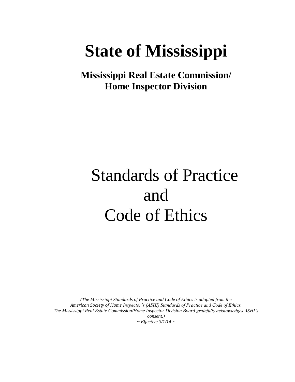# **State of Mississippi**

**Mississippi Real Estate Commission/ Home Inspector Division**

# Standards of Practice and Code of Ethics

*(The Mississippi Standards of Practice and Code of Ethics is adopted from the American Society of Home Inspector's (ASHI) Standards of Practice and Code of Ethics. The Mississippi Real Estate Commission/Home Inspector Division Board gratefully acknowledges ASHI's consent.) ~ Effective 3/1/14 ~*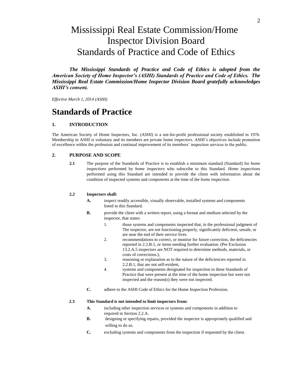# Mississippi Real Estate Commission/Home Inspector Division Board Standards of Practice and Code of Ethics

*The Mississippi Standards of Practice and Code of Ethics is adopted from the American Society of Home Inspector's (ASHI) Standards of Practice and Code of Ethics. The Mississippi Real Estate Commission/Home Inspector Division Board gratefully acknowledges ASHI's consent.*

*Effective March 1, 2014 (ASHI)*

# **Standards of Practice**

# **1. INTRODUCTION**

The American Society of Home Inspectors, Inc. (ASHI) is a not-for-profit professional society established in 1976. Membership in ASHI is voluntary and its members are private home *inspectors*. ASHI's objectives include promotion of excellence within the profession and continual improvement of its members' inspection services to the public.

# **2. PURPOSE AND SCOPE**

**2.1** The purpose of the Standards of Practice is to establish a minimum standard (Standard) for *home inspections* performed by *home inspectors* who subscribe to this Standard. *Home inspections* performed using this Standard are intended to provide the client with information about the condition of inspected systems and *components* at the time of the *home inspection*.

#### **2.2 Inspectors shall:**

- **A.** inspect readily accessible, visually observable, installed systems and components listed in this Standard.
- **B.** provide the client with a written report, using a format and medium selected by the inspector, that states:
	- 1. those systems and components inspected that, in the professional judgment of The inspector, are not functioning properly, significantly deficient, unsafe, or are near the end of their service lives.
	- 2. recommendations to correct, or monitor for future correction, the deficiencies reported in 2.2.B.1, or items needing further evaluation. (Per Exclusion 13.2.A.5 inspectors are NOT required to determine methods, materials, or costs of corrections.),
	- 3. reasoning or explanation as to the nature of the deficiencies reported in 2.2.B.1, that are not self-evident,
	- 4. systems and components designated for inspection in these Standards of Practice that were present at the time of the home inspection but were not inspected and the reason(s) they were not inspected.
- **C.** adhere to the ASHI Code of Ethics for the Home Inspection Profession.

# **2.3 This Standard is not intended to limit inspectors from:**

- **A.** including other inspection services or systems and components in addition to required in Section 2.2.A.
- **B.** designing or specifying repairs, provided the inspector is appropriately qualified and willing to do so.
- **C.** excluding systems and components from the inspection if requested by the client.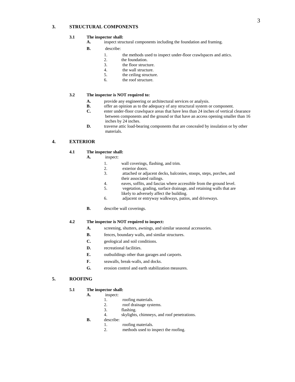# **3. STRUCTURAL COMPONENTS**

# **3.1 The inspector shall:**

- **A.** inspect structural components including the foundation and framing.
- **B.** describe:
	- 1. the methods used to inspect under-floor crawlspaces and attics.
	- 2. the foundation.
	- 3. the floor structure.
	- 4. the wall structure.
	- 5. the ceiling structure.
	- 6. the roof structure.

### **3.2 The inspector is NOT required to:**

- **A.** provide any engineering or architectural services or analysis.
- **B.** offer an opinion as to the adequacy of any structural system or component.<br> **C.** enter under-floor crawlspace areas that have less than 24 inches of vertical
- enter under-floor crawlspace areas that have less than 24 inches of vertical clearance between components and the ground or that have an access opening smaller than 16 inches by 24 inches.
- **D.** traverse attic load-bearing components that are concealed by insulation or by other materials.

# **4. EXTERIOR**

# **4.1 The inspector shall:**

- **A.** inspect:
	- 1. wall coverings, flashing, and trim.
	- 2. exterior doors.
	- 3. attached or adjacent decks, balconies, stoops, steps, porches, and their associated railings.
	- 4. eaves, soffits, and fascias where accessible from the ground level.
	- 5. vegetation, grading, surface drainage, and retaining walls that are likely to adversely affect the building.
	- 6. adjacent or entryway walkways, patios, and driveways.
	- **B.** describe wall coverings.

#### **4.2 The inspector is NOT required to inspect:**

- **A.** screening, shutters, awnings, and similar seasonal accessories.
- **B.** fences, boundary walls, and similar structures.
- **C.** geological and soil conditions.
- **D.** recreational facilities.
- **E.** outbuildings other than garages and carports.
- **F.** seawalls, break-walls, and docks.
- **G.** erosion control and earth stabilization measures.

# **5. ROOFING**

# **5.1 The inspector shall:**

- **A.** inspect:
	- 1. roofing materials.<br>2. roof drainage syst
	- roof drainage systems.
	- 3. flashing.
	- 4. skylights, chimneys, and roof penetrations.
- **B.** describe:
	- 1. roofing materials.
	- 2. methods used to inspect the roofing.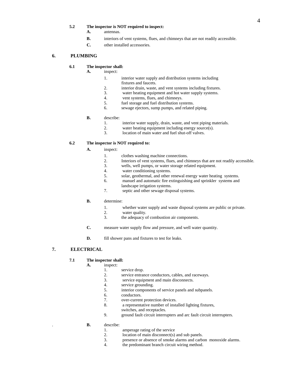#### **5.2 The inspector is NOT required to inspect:**

- **A.** antennas.
- **B.** interiors of vent systems, flues, and chimneys that are not readily accessible.
- **C.** other installed accessories.

# **6. PLUMBING**

# **6.1 The inspector shall:**

**A.** inspect:

- 1. interior water supply and distribution systems including fixtures and faucets.
- 2. interior drain, waste, and vent systems including fixtures.
- 3. water heating equipment and hot water supply systems.
- 4. vent systems, flues, and chimneys.
- 5. fuel storage and fuel distribution systems.
- 6. sewage ejectors, sump pumps, and related piping.

#### **B.** describe:

- 1. interior water supply, drain, waste, and vent piping materials.
- 2. water heating equipment including energy source(s).
- 3. location of main water and fuel shut-off valves.

# **6.2 The inspector is NOT required to:**

- **A.** inspect:
	- 1. clothes washing machine connections.
	- 2. Interiors of vent systems, flues, and chimneys that are not readily accessible.
	- 3. wells, well pumps, or water storage related equipment.
	- 4. water conditioning systems.
	- 5. solar, geothermal, and other renewal energy water heating systems.
	- 6. manuel and automatic fire extinguishing and sprinkler systems and
	- landscape irrigation systems.
	- 7. septic and other sewage disposal systems.

#### **B.** determine:

- 1. whether water supply and waste disposal systems are public or private.
- 2. water quality.<br>3. the adequacy of
- the adequacy of combustion air components.
- **C.** measure water supply flow and pressure, and well water quantity.
- **D.** fill shower pans and fixtures to test for leaks.

# **7. ELECTRICAL**

# **7.1 The inspector shall:**

- **A.** inspect:
	- 1. service drop.
	- 2. service entrance conductors, cables, and raceways.
	- 3. service equipment and main disconnects.
	- 4. service grounding.
	- 5. interior components of service panels and subpanels.
	- 6. conductors.
	- 7. over-current protection devices.
	- 8. a representative number of installed lighting fixtures, switches, and receptacles.
	- 9. ground fault circuit interrupters and arc fault circuit interrupters.
- . **B.** describe:
	- 1. amperage rating of the service
	- 2. location of main disconnect(s) and sub panels.
	- 3. presence or absence of smoke alarms and carbon monoxide alarms.
	- 4. the predominant branch circuit wiring method.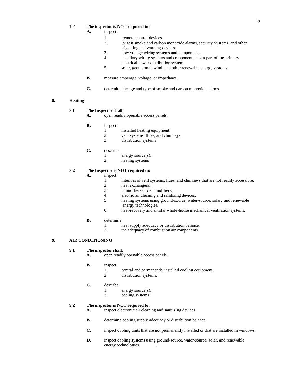#### **7.2 The inspector is NOT required to:**

- **A.** inspect:
	- 1. remote control devices.
	- 2. or test smoke and carbon monoxide alarms, security Systems, and other signaling and warning devices.
	- 3. low voltage wiring systems and components.
	- 4. ancillary wiring systems and components. not a part of the primary electrical power distribution system.
	- 5. solar, geothermal, wind, and other renewable energy systems.
- **B.** measure amperage, voltage, or impedance.
- **C.** determine the age and type of smoke and carbon monoxide alarms.

# **8. Heating**

# **8.1 The Inspector shall:**

- **A.** open readily openable access panels.
- **B.** inspect:
	- 1. installed heating equipment.
	- 2. vent systems, flues, and chimneys.<br>3. distribution systems
	- distribution systems
- **C.** describe:
	- 1. energy source(s).
	- 2. heating systems

# **8.2 The Inspector is NOT required to:**

#### **A.** inspect:

- 1. interiors of vent systems, flues, and chimneys that are not readily accessible.
- 2. heat exchangers.
- 3. humidifiers or dehumidifiers.
- 4. electric air cleaning and sanitizing devices.
- 5. heating systems using ground-source, water-source, solar, and renewable energy technologies.
- 6. heat-recovery and similar whole-house mechanical ventilation systems.

#### **B.** determine

- 1. heat supply adequacy or distribution balance.
- 2. the adequacy of combustion air components.

# **9. AIR CONDITIONING**

#### **9.1 The inspector shall:**

**A.** open readily openable access panels.

#### **B.** inspect:

- 1. central and permanently installed cooling equipment.
- 2. distribution systems.

#### **C.** describe:

- 1. energy source(s).
- 2. cooling systems.

## **9.2 The inspector is NOT required to:**

- **A.** inspect electronic air cleaning and sanitizing devices.
- **B.** determine cooling supply adequacy or distribution balance.
- **C.** inspect cooling units that are not permanently installed or that are installed in windows.
- **D.** inspect cooling systems using ground-source, water-source, solar, and renewable energy technologies. .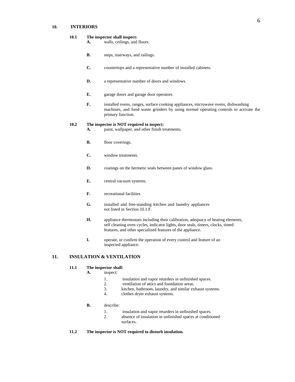# **10. INTERIORS**

# **10.1 The inspector shall inspect:**

- **A.** walls, ceilings, and floors.
- **B.** steps, stairways, and railings.
- **C.** countertops and a representative number of installed cabinets.
- **D.** a representative number of doors and windows.
- **E.** garage doors and garage door operators
- **F.** installed ovens, ranges, surface cooking appliances, microwave ovens, dishwashing machines, and food waste grinders by using normal operating controls to activate the primary function.

#### **10.2 The inspector is NOT required to inspect:**

- **A.** paint, wallpaper, and other finish treatments.
- **B.** floor coverings.
- **C.** window treatments.
- **D.** coatings on the hermetic seals between panes of window glass.
- **E.** central vacuum systems.
- **F.** recreational facilities
- **G.** installed and free-standing kitchen and laundry appliances not listed in Section 10.1.F.
- **H.** appliance thermostats including their calibration, adequacy of heating elements, self cleaning oven cycles, indicator lights, door seals, timers, clocks, timed features, and other specialized features of the appliance.
- **I.** operate, or confirm the operation of every control and feature of an inspected appliance.

# **11. INSULATION & VENTILATION**

# **11.1 The inspector shall:**

- **A.** inspect:
	- 1. insulation and vapor retarders in unfinished spaces.
	- 2. ventilation of attics and foundation areas.
	- 3. kitchen, bathroom, laundry, and similar exhaust systems.
	- 4. clothes dryer exhaust systems.

## **B.** describe:

- 1. insulation and vapor retarders in unfinished spaces.
- 2. absence of insulation in unfinished spaces at conditioned surfaces.
- **11.2 The inspector is NOT required to disturb insulation.**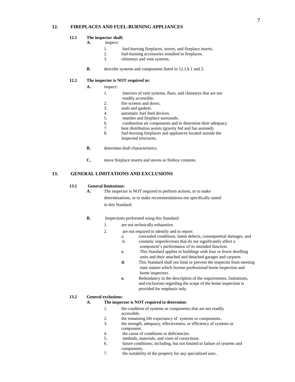# **12. FIREPLACES AND FUEL-BURNING APPLIANCES**

# **12.1 The inspector shall:**

# **A.** inspect:

- 1. fuel-burning fireplaces, stoves, and fireplace inserts.
- 2. fuel-burning accessories installed in fireplaces.<br>3. chimnevs and vent systems.
- chimneys and vent systems.
- **B.** describe systems and components listed in 12.1A.1 and 2.

#### **12.2 The inspector is NOT required to:**

- **A.** inspect:
	- 1. interiors of vent systems, flues, and chimneys that are not readily accessible.
	- 2. fire screens and doors.
	- 3. seals and gaskets.
	- 4. automatic fuel feed devices.
	- 5. mantles and fireplace surrounds.
	- 6. combustion air components and to determine their adequacy.
	- 7. heat distribution assists (gravity fed and fan assisted).
	- 8. fuel-burning fireplaces and appliances located outside the inspected structures.
- **B.** determine draft characteristics.
- **C.** move fireplace inserts and stoves or firebox contents.

.

# **13. GENERAL LIMITATIONS AND EXCLUSIONS**

#### **13.1 General limitations:**

**A.** The inspector is NOT required to perform actions, or to make determinations, or to make recommendations not specifically stated

in this Standard.

- **B.** Inspections performed using this Standard:
	- 1. are not technically exhaustive.
	- 2. are not required to identify and to report:
		- a. concealed conditions, latent defects, consequential damages, and
		- .b. cosmetic imperfections that do not significantly affect a
		- component's performance of its intended function.
		- **c.** This Standard applies to buildings with four or fewer dwelling units and their attached and detached garages and carports
		- **d.** This Standard shall not limit or prevent the inspector from meeting state statues which license professional home inspection and home inspectors.
		- **e.** Redundancy in the description of the requirements, limitations, and exclusions regarding the scope of the home inspection is provided for emphasis only.

#### **13.2 General exclusions:**

#### **A. The inspector is NOT required to determine:**

- 1. the condition of systems or components that are not readily accessible.
- 2. the remaining life expectancy of systems or components..
- 3. the strength, adequacy, effectiveness, or efficiency of systems or component.
- 4. the cause of conditions or deficiencies.
- 5. methods, materials, and costs of corrections.
- 6. future conditions; including, but not limited to failure of systems and components.
- 7. the suitability of the property for any specialized uses..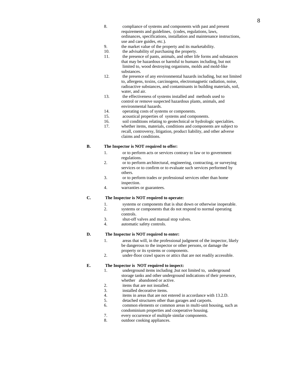- 8. compliance of systems and components with past and present requirements and guidelines, (codes, regulations, laws, ordinances, specifications, installation and maintenance instructions, use and care guides, etc.).
- 9. the market value of the property and its marketability.
- 10. the advisability of purchasing the property.
- 11. the presence of pants, animals, and other life forms and substances that may be hazardous or harmful to humans including, but not limited to, wood destroying organisms, molds and mold-like substances.
- 12. the presence of any environmental hazards including, but not limited to, allergens, toxins, carcinogens, electromagnetic radiation, noise, radioactive substances, and contaminants in building materials, soil, water, and air.
- 13. the effectiveness of systems installed and methods used to control or remove suspected hazardous plants, animals, and environmental hazards.
- 14. operating costs of systems or components.
- 15. acoustical properties of systems and components.
- 16. soil conditions relating to geotechnical or hydrologic specialties.
- 17. whether items, materials, conditions and components are subject to recall, controversy, litigation, product liability, and other adverse claims and conditions.

# **B. The Inspector is NOT required to offer:**

- 1. or to perform acts or services contrary to law or to government regulations.
- 2. or to perform architectural, engineering, contracting, or surveying services or to confirm or to evaluate such services performed by others.
- 3. or to perform trades or professional services other than home inspection.
- 4. warranties or guarantees.

# **C. The Inspector is NOT required to operate:**

- 1. systems or components that is shut down or otherwise inoperable.
- 2. systems or components that do not respond to normal operating controls.
- 3. shut-off valves and manual stop valves.
- 4. automatic safety controls.

# **D. The Inspector is NOT required to enter:**

- 1. areas that will, in the professional judgment of the inspector, likely be dangerous to the inspector or other persons, or damage the property or its systems or components.
- 2. under-floor crawl spaces or attics that are not readily accessible.

# **E. The Inspector is NOT required to inspect:**

- 1. underground items including ,but not limited to, underground storage tanks and other underground indications of their presence, whether abandoned or active.
- 2. items that are not installed.
- 3. installed decorative items.
- 4. items in areas that are not entered in accordance with 13.2.D.
- 5. detached structures other than garages and carports.
- 6. common elements or common areas in multi-unit housing, such as condominium properties and cooperative housing.
- 7. every occurrence of multiple similar components.
- 8. outdoor cooking appliances.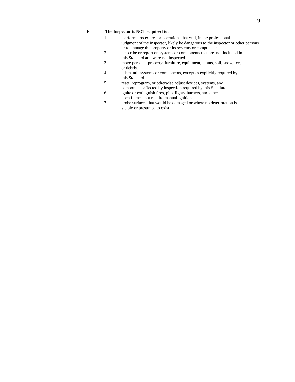# **F. The Inspector is NOT required to:**

- 1. perform procedures or operations that will, in the professional judgment of the inspector, likely be dangerous to the inspector or other persons or to damage the property or its systems or components.
- 2. describe or report on systems or components that are not included in this Standard and were not inspected.
- 3. move personal property, furniture, equipment, plants, soil, snow, ice, or debris.
- 4. dismantle systems or components, except as explicitly required by this Standard.
- 5. reset, reprogram, or otherwise adjust devices, systems, and components affected by inspection required by this Standard.
- 6. ignite or extinguish fires, pilot lights, burners, and other open flames that require manual ignition.
- 7. probe surfaces that would be damaged or where no deterioration is visible or presumed to exist.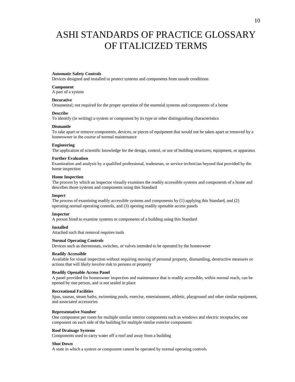# ASHI STANDARDS OF PRACTICE GLOSSARY OF ITALICIZED TERMS

#### **Automatic Safety Controls**

Devices designed and installed to protect systems and components from unsafe conditions

#### **Component**

A part of a system

#### **Decorative**

Ornamental; not required for the proper operation of the essential systems and components of a home

#### **Describe**

To identify (in writing) a system or component by its type or other distinguishing characteristics

#### **Dismantle**

To take apart or remove components, devices, or pieces of equipment that would not be taken apart or removed by a homeowner in the course of normal maintenance

#### **Engineering**

The application of scientific knowledge for the design, control, or use of building structures, equipment, or apparatus

#### **Further Evaluation**

Examination and analysis by a qualified professional, tradesman, or service technician beyond that provided by the home inspection

# **Home Inspection**

The process by which an inspector visually examines the readily accessible systems and components of a home and describes those systems and components using this Standard

#### **Inspect**

The process of examining readily accessible systems and components by (1) applying this Standard, and (2) operating normal operating controls, and (3) opening readily openable access panels

#### **Inspector**

A person hired to examine systems or components of a building using this Standard

#### **Installed**

Attached such that removal requires tools

#### **Normal Operating Controls**

Devices such as thermostats, switches, or valves intended to be operated by the homeowner

#### **Readily Accessible**

Available for visual inspection without requiring moving of personal property, dismantling, destructive measures or actions that will likely involve risk to persons or property

#### **Readily Openable Access Panel**

A panel provided for homeowner inspection and maintenance that is readily accessible, within normal reach, can be opened by one person, and is not sealed in place

#### **Recreational Facilities**

Spas, saunas, steam baths, swimming pools, exercise, entertainment, athletic, playground and other similar equipment, and associated accessories

#### **Representative Number**

One component per room for multiple similar interior components such as windows and electric receptacles; one component on each side of the building for multiple similar exterior components

#### **Roof Drainage Systems**

Components used to carry water off a roof and away from a building

#### **Shut Down**

A state in which a system or component cannot be operated by normal operating controls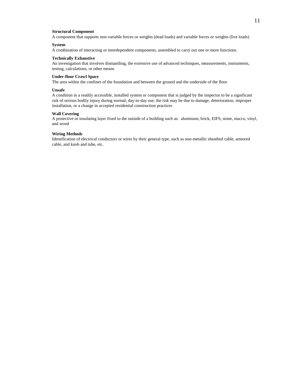#### **Structural Component**

A component that supports non-variable forces or weights (dead loads) and variable forces or weights (live loads)

#### **System**

A combination of interacting or interdependent components, assembled to carry out one or more functions.

#### **Technically Exhaustive**

An investigation that involves dismantling, the extensive use of advanced techniques, measurements, instruments, testing, calculations, or other means

# **Under-floor Crawl Space**

The area within the confines of the foundation and between the ground and the underside of the floor

#### **Unsafe**

A condition in a readily accessible, installed system or component that is judged by the inspector to be a significant risk of serious bodily injury during normal, day-to-day use; the risk may be due to damage, deterioration, improper installation, or a change in accepted residential construction practices

#### **Wall Covering**

A protective or insulating layer fixed to the outside of a building such as: aluminum, brick, EIFS, stone, stucco, vinyl, and wood

#### **Wiring Methods**

Identification of electrical conductors or wires by their general type, such as non-metallic sheathed cable, armored cable, and knob and tube, etc.